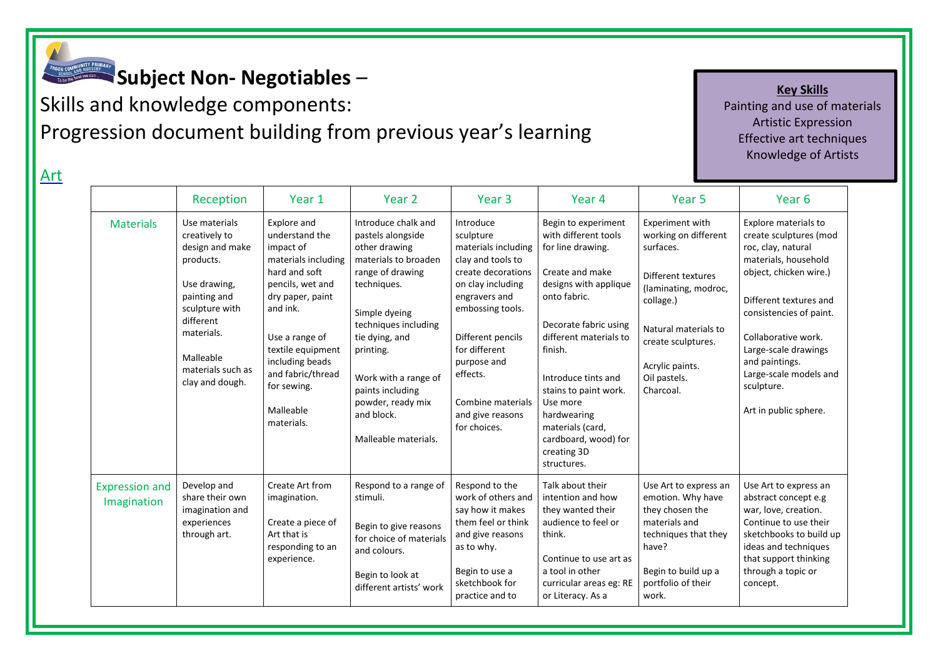

Art

## **Subject Non- Negotiables** –

Skills and knowledge components: Progression document building from previous year's learning

**Key Skills** Painting and use of materials Artistic Expression Effective art techniques Knowledge of Artists

|                                      | Reception                                                                                                                                                                                        | Year 1                                                                                                                                                                                                                                                          | Year 2                                                                                                                                                                                                                                                                                              | Year <sub>3</sub>                                                                                                                                                                                                                                                            | Year <sub>4</sub>                                                                                                                                                                                                                                                                                                                               | Year <sub>5</sub>                                                                                                                                                                                             | Year <sub>6</sub>                                                                                                                                                                                                                                                                                             |
|--------------------------------------|--------------------------------------------------------------------------------------------------------------------------------------------------------------------------------------------------|-----------------------------------------------------------------------------------------------------------------------------------------------------------------------------------------------------------------------------------------------------------------|-----------------------------------------------------------------------------------------------------------------------------------------------------------------------------------------------------------------------------------------------------------------------------------------------------|------------------------------------------------------------------------------------------------------------------------------------------------------------------------------------------------------------------------------------------------------------------------------|-------------------------------------------------------------------------------------------------------------------------------------------------------------------------------------------------------------------------------------------------------------------------------------------------------------------------------------------------|---------------------------------------------------------------------------------------------------------------------------------------------------------------------------------------------------------------|---------------------------------------------------------------------------------------------------------------------------------------------------------------------------------------------------------------------------------------------------------------------------------------------------------------|
| <b>Materials</b>                     | Use materials<br>creatively to<br>design and make<br>products.<br>Use drawing,<br>painting and<br>sculpture with<br>different<br>materials.<br>Malleable<br>materials such as<br>clay and dough. | Explore and<br>understand the<br>impact of<br>materials including<br>hard and soft<br>pencils, wet and<br>dry paper, paint<br>and ink.<br>Use a range of<br>textile equipment<br>including beads<br>and fabric/thread<br>for sewing.<br>Malleable<br>materials. | Introduce chalk and<br>pastels alongside<br>other drawing<br>materials to broaden<br>range of drawing<br>techniques.<br>Simple dyeing<br>techniques including<br>tie dying, and<br>printing.<br>Work with a range of<br>paints including<br>powder, ready mix<br>and block.<br>Malleable materials. | Introduce<br>sculpture<br>materials including<br>clay and tools to<br>create decorations<br>on clay including<br>engravers and<br>embossing tools.<br>Different pencils<br>for different<br>purpose and<br>effects.<br>Combine materials<br>and give reasons<br>for choices. | Begin to experiment<br>with different tools<br>for line drawing.<br>Create and make<br>designs with applique<br>onto fabric.<br>Decorate fabric using<br>different materials to<br>finish.<br>Introduce tints and<br>stains to paint work.<br>Use more<br>hardwearing<br>materials (card,<br>cardboard, wood) for<br>creating 3D<br>structures. | Experiment with<br>working on different<br>surfaces.<br>Different textures<br>(laminating, modroc,<br>collage.)<br>Natural materials to<br>create sculptures.<br>Acrylic paints.<br>Oil pastels.<br>Charcoal. | Explore materials to<br>create sculptures (mod<br>roc, clay, natural<br>materials, household<br>object, chicken wire.)<br>Different textures and<br>consistencies of paint.<br>Collaborative work.<br>Large-scale drawings<br>and paintings.<br>Large-scale models and<br>sculpture.<br>Art in public sphere. |
| <b>Expression and</b><br>Imagination | Develop and<br>share their own<br>imagination and<br>experiences<br>through art.                                                                                                                 | Create Art from<br>imagination.<br>Create a piece of<br>Art that is<br>responding to an<br>experience.                                                                                                                                                          | Respond to a range of<br>stimuli.<br>Begin to give reasons<br>for choice of materials<br>and colours.<br>Begin to look at<br>different artists' work                                                                                                                                                | Respond to the<br>work of others and<br>say how it makes<br>them feel or think<br>and give reasons<br>as to why.<br>Begin to use a<br>sketchbook for<br>practice and to                                                                                                      | Talk about their<br>intention and how<br>they wanted their<br>audience to feel or<br>think.<br>Continue to use art as<br>a tool in other<br>curricular areas eg: RE<br>or Literacy. As a                                                                                                                                                        | Use Art to express an<br>emotion. Why have<br>they chosen the<br>materials and<br>techniques that they<br>have?<br>Begin to build up a<br>portfolio of their<br>work.                                         | Use Art to express an<br>abstract concept e.g<br>war, love, creation.<br>Continue to use their<br>sketchbooks to build up<br>ideas and techniques<br>that support thinking<br>through a topic or<br>concept.                                                                                                  |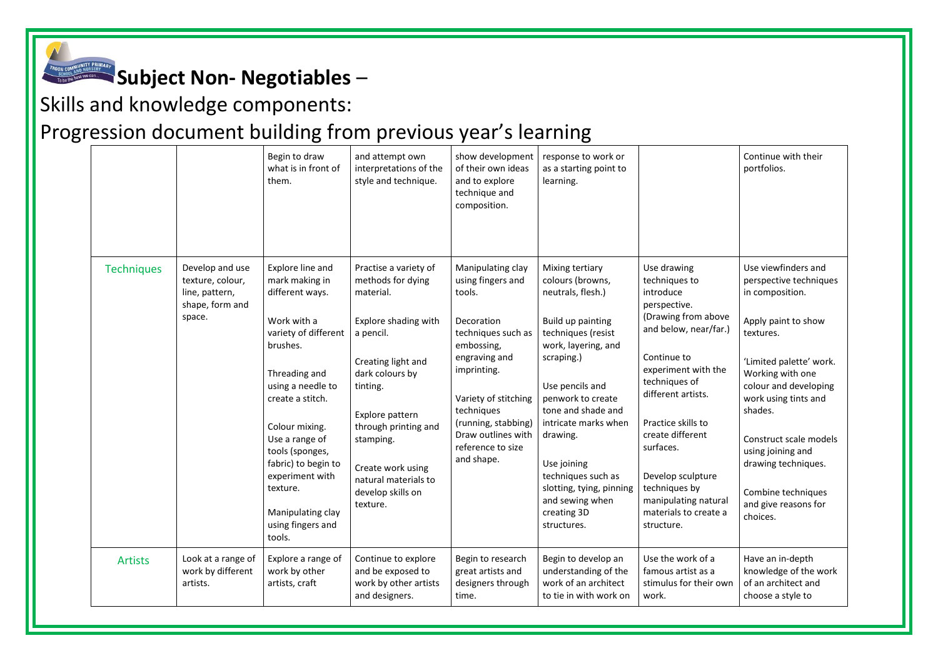

## **Subject Non- Negotiables** –

Skills and knowledge components:

## Progression document building from previous year's learning

|                   |                                                                                    | Begin to draw<br>what is in front of<br>them.                                                                                                                                                                                                                                                                                       | and attempt own<br>interpretations of the<br>style and technique.                                                                                                                                                                                                                       | show development<br>of their own ideas<br>and to explore<br>technique and<br>composition.                                                                                                                                                                | response to work or<br>as a starting point to<br>learning.                                                                                                                                                                                                                                                                                                   |                                                                                                                                                                                                                                                                                                                                                    | Continue with their<br>portfolios.                                                                                                                                                                                                                                                                                                              |
|-------------------|------------------------------------------------------------------------------------|-------------------------------------------------------------------------------------------------------------------------------------------------------------------------------------------------------------------------------------------------------------------------------------------------------------------------------------|-----------------------------------------------------------------------------------------------------------------------------------------------------------------------------------------------------------------------------------------------------------------------------------------|----------------------------------------------------------------------------------------------------------------------------------------------------------------------------------------------------------------------------------------------------------|--------------------------------------------------------------------------------------------------------------------------------------------------------------------------------------------------------------------------------------------------------------------------------------------------------------------------------------------------------------|----------------------------------------------------------------------------------------------------------------------------------------------------------------------------------------------------------------------------------------------------------------------------------------------------------------------------------------------------|-------------------------------------------------------------------------------------------------------------------------------------------------------------------------------------------------------------------------------------------------------------------------------------------------------------------------------------------------|
| <b>Techniques</b> | Develop and use<br>texture, colour,<br>line, pattern,<br>shape, form and<br>space. | Explore line and<br>mark making in<br>different ways.<br>Work with a<br>variety of different<br>brushes.<br>Threading and<br>using a needle to<br>create a stitch.<br>Colour mixing.<br>Use a range of<br>tools (sponges,<br>fabric) to begin to<br>experiment with<br>texture.<br>Manipulating clay<br>using fingers and<br>tools. | Practise a variety of<br>methods for dying<br>material.<br>Explore shading with<br>a pencil.<br>Creating light and<br>dark colours by<br>tinting.<br>Explore pattern<br>through printing and<br>stamping.<br>Create work using<br>natural materials to<br>develop skills on<br>texture. | Manipulating clay<br>using fingers and<br>tools.<br>Decoration<br>techniques such as<br>embossing,<br>engraving and<br>imprinting.<br>Variety of stitching<br>techniques<br>(running, stabbing)<br>Draw outlines with<br>reference to size<br>and shape. | Mixing tertiary<br>colours (browns,<br>neutrals, flesh.)<br>Build up painting<br>techniques (resist<br>work, layering, and<br>scraping.)<br>Use pencils and<br>penwork to create<br>tone and shade and<br>intricate marks when<br>drawing.<br>Use joining<br>techniques such as<br>slotting, tying, pinning<br>and sewing when<br>creating 3D<br>structures. | Use drawing<br>techniques to<br>introduce<br>perspective.<br>(Drawing from above<br>and below, near/far.)<br>Continue to<br>experiment with the<br>techniques of<br>different artists.<br>Practice skills to<br>create different<br>surfaces.<br>Develop sculpture<br>techniques by<br>manipulating natural<br>materials to create a<br>structure. | Use viewfinders and<br>perspective techniques<br>in composition.<br>Apply paint to show<br>textures.<br>'Limited palette' work.<br>Working with one<br>colour and developing<br>work using tints and<br>shades.<br>Construct scale models<br>using joining and<br>drawing techniques.<br>Combine techniques<br>and give reasons for<br>choices. |
| <b>Artists</b>    | Look at a range of<br>work by different<br>artists.                                | Explore a range of<br>work by other<br>artists, craft                                                                                                                                                                                                                                                                               | Continue to explore<br>and be exposed to<br>work by other artists<br>and designers.                                                                                                                                                                                                     | Begin to research<br>great artists and<br>designers through<br>time.                                                                                                                                                                                     | Begin to develop an<br>understanding of the<br>work of an architect<br>to tie in with work on                                                                                                                                                                                                                                                                | Use the work of a<br>famous artist as a<br>stimulus for their own<br>work.                                                                                                                                                                                                                                                                         | Have an in-depth<br>knowledge of the work<br>of an architect and<br>choose a style to                                                                                                                                                                                                                                                           |